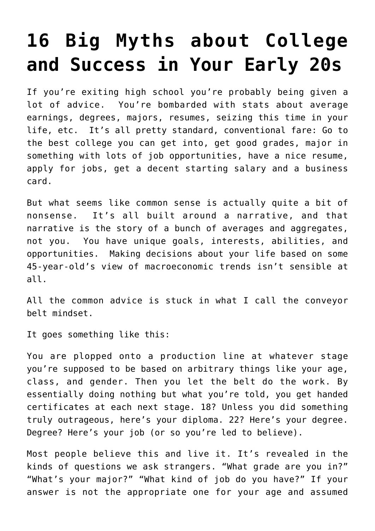# **[16 Big Myths about College](https://intellectualtakeout.org/2016/10/16-big-myths-about-college-and-success-in-your-early-20s/) [and Success in Your Early 20s](https://intellectualtakeout.org/2016/10/16-big-myths-about-college-and-success-in-your-early-20s/)**

If you're exiting high school you're probably being given a lot of advice. You're bombarded with stats about average earnings, degrees, majors, resumes, seizing this time in your life, etc. It's all pretty standard, conventional fare: Go to the best college you can get into, get good grades, major in something with lots of job opportunities, have a nice resume, apply for jobs, get a decent starting salary and a business card.

But what seems like common sense is actually quite a bit of nonsense. It's all built around a narrative, and that narrative is the story of a bunch of averages and aggregates, not you. You have unique goals, interests, abilities, and opportunities. Making decisions about your life based on some 45-year-old's view of macroeconomic trends isn't sensible at all.

All the common advice is stuck in what I call the conveyor belt mindset.

It goes something like this:

You are plopped onto a production line at whatever stage you're supposed to be based on arbitrary things like your age, class, and gender. Then you let the belt do the work. By essentially doing nothing but what you're told, you get handed certificates at each next stage. 18? Unless you did something truly outrageous, here's your diploma. 22? Here's your degree. Degree? Here's your job (or so you're led to believe).

Most people believe this and live it. It's revealed in the kinds of questions we ask strangers. "What grade are you in?" "What's your major?" "What kind of job do you have?" If your answer is not the appropriate one for your age and assumed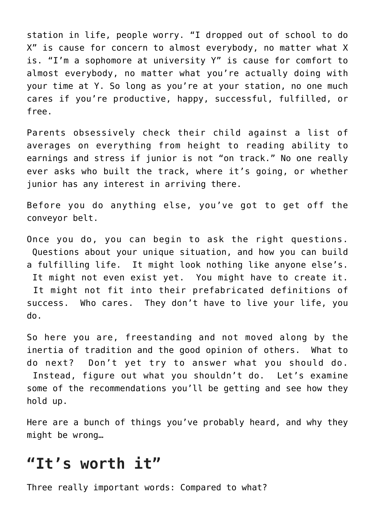station in life, people worry. "I dropped out of school to do X" is cause for concern to almost everybody, no matter what X is. "I'm a sophomore at university Y" is cause for comfort to almost everybody, no matter what you're actually doing with your time at Y. So long as you're at your station, no one much cares if you're productive, happy, successful, fulfilled, or free.

Parents obsessively check their child against a list of averages on everything from height to reading ability to earnings and stress if junior is not "on track." No one really ever asks who built the track, where it's going, or whether junior has any interest in arriving there.

Before you do anything else, you've got to get off the conveyor belt.

Once you do, you can begin to ask the right questions. Questions about your unique situation, and how you can build a fulfilling life. It might look nothing like anyone else's. It might not even exist yet. You might have to create it. It might not fit into their prefabricated definitions of success. Who cares. They don't have to live your life, you do.

So here you are, freestanding and not moved along by the inertia of tradition and the good opinion of others. What to do next? Don't yet try to answer what you should do. Instead, figure out what you shouldn't do. Let's examine some of the recommendations you'll be getting and see how they hold up.

Here are a bunch of things you've probably heard, and why they might be wrong…

#### **"It's worth it"**

Three really important words: Compared to what?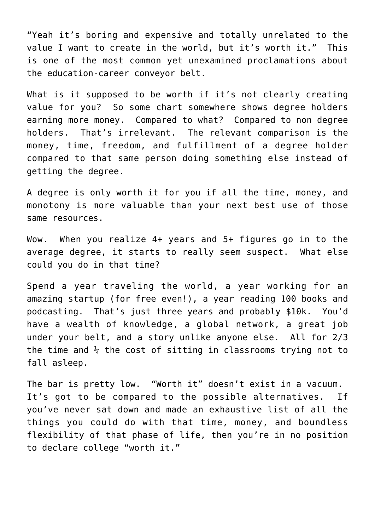"Yeah it's boring and expensive and totally unrelated to the value I want to create in the world, but it's worth it." This is one of the most common yet unexamined proclamations about the education-career conveyor belt.

What is it supposed to be worth if it's not clearly creating value for you? So some chart somewhere shows degree holders earning more money. Compared to what? Compared to non degree holders. That's irrelevant. The relevant comparison is the money, time, freedom, and fulfillment of a degree holder compared to that same person doing something else instead of getting the degree.

A degree is only worth it for you if all the time, money, and monotony is more valuable than your next best use of those same resources.

Wow. When you realize 4+ years and 5+ figures go in to the average degree, it starts to really seem suspect. What else could you do in that time?

Spend a year traveling the world, a year working for an amazing startup (for free even!), a year reading 100 books and podcasting. That's just three years and probably \$10k. You'd have a wealth of knowledge, a global network, a great job under your belt, and a story unlike anyone else. All for 2/3 the time and  $\frac{1}{4}$  the cost of sitting in classrooms trying not to fall asleep.

The bar is pretty low. "Worth it" doesn't exist in a vacuum. It's got to be compared to the possible alternatives. If you've never sat down and made an exhaustive list of all the things you could do with that time, money, and boundless flexibility of that phase of life, then you're in no position to declare college "worth it."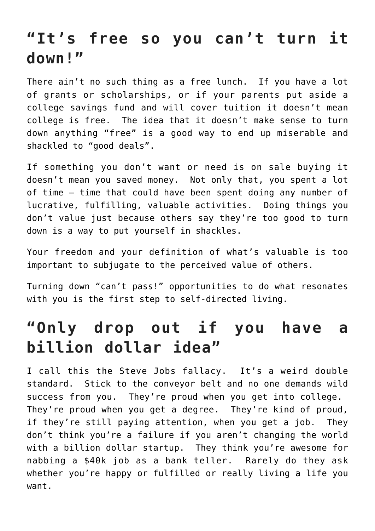# **"It's free so you can't turn it down!"**

There ain't no such thing as a free lunch. If you have a lot of grants or scholarships, or if your parents put aside a college savings fund and will cover tuition it doesn't mean college is free. The idea that it doesn't make sense to turn down anything "free" is a good way to end up miserable and shackled to "good deals".

If something you don't want or need is on sale buying it doesn't mean you saved money. Not only that, you spent a lot of time – time that could have been spent doing any number of lucrative, fulfilling, valuable activities. Doing things you don't value just because others say they're too good to turn down is a way to put yourself in shackles.

Your freedom and your definition of what's valuable is too important to subjugate to the perceived value of others.

Turning down "can't pass!" opportunities to do what resonates with you is the first step to self-directed living.

# **"Only drop out if you have a billion dollar idea"**

I call this the Steve Jobs fallacy. It's a weird double standard. Stick to the conveyor belt and no one demands wild success from you. They're proud when you get into college. They're proud when you get a degree. They're kind of proud, if they're still paying attention, when you get a job. They don't think you're a failure if you aren't changing the world with a billion dollar startup. They think you're awesome for nabbing a \$40k job as a bank teller. Rarely do they ask whether you're happy or fulfilled or really living a life you want.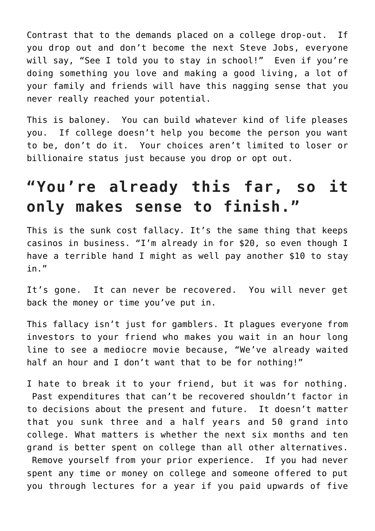Contrast that to the demands placed on a college drop-out. If you drop out and don't become the next Steve Jobs, everyone will say, "See I told you to stay in school!" Even if you're doing something you love and making a good living, a lot of your family and friends will have this nagging sense that you never really reached your potential.

This is baloney. You can build whatever kind of life pleases you. If college doesn't help you become the person you want to be, don't do it. Your choices aren't limited to loser or billionaire status just because you drop or opt out.

# **"You're already this far, so it only makes sense to finish."**

This is the sunk cost fallacy. It's the same thing that keeps casinos in business. "I'm already in for \$20, so even though I have a terrible hand I might as well pay another \$10 to stay in."

It's gone. It can never be recovered. You will never get back the money or time you've put in.

This fallacy isn't just for gamblers. It plagues everyone from investors to your friend who makes you wait in an hour long line to see a mediocre movie because, "We've already waited half an hour and I don't want that to be for nothing!"

I hate to break it to your friend, but it was for nothing. Past expenditures that can't be recovered shouldn't factor in to decisions about the present and future. It doesn't matter that you sunk three and a half years and 50 grand into college. What matters is whether the next six months and ten grand is better spent on college than all other alternatives. Remove yourself from your prior experience. If you had never spent any time or money on college and someone offered to put you through lectures for a year if you paid upwards of five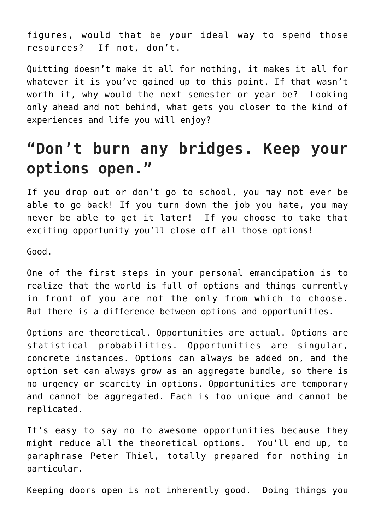figures, would that be your ideal way to spend those resources? If not, don't.

Quitting doesn't make it all for nothing, it makes it all for whatever it is you've gained up to this point. If that wasn't worth it, why would the next semester or year be? Looking only ahead and not behind, what gets you closer to the kind of experiences and life you will enjoy?

# **"Don't burn any bridges. Keep your options open."**

If you drop out or don't go to school, you may not ever be able to go back! If you turn down the job you hate, you may never be able to get it later! If you choose to take that exciting opportunity you'll close off all those options!

Good.

One of the first steps in your personal emancipation is to realize that the world is full of options and things currently in front of you are not the only from which to choose. But there is a difference between options and opportunities.

Options are theoretical. Opportunities are actual. Options are statistical probabilities. Opportunities are singular, concrete instances. Options can always be added on, and the option set can always grow as an aggregate bundle, so there is no urgency or scarcity in options. Opportunities are temporary and cannot be aggregated. Each is too unique and cannot be replicated.

It's easy to say no to awesome opportunities because they might reduce all the theoretical options. You'll end up, to paraphrase Peter Thiel, totally prepared for nothing in particular.

Keeping doors open is not inherently good. Doing things you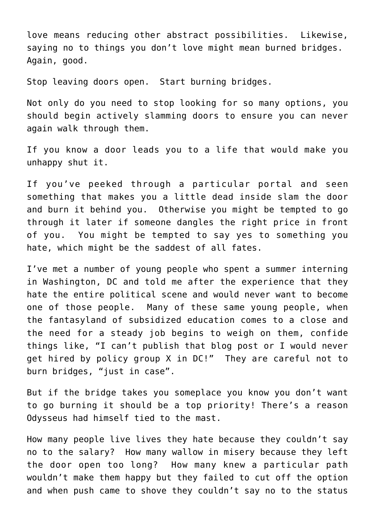love means reducing other abstract possibilities. Likewise, saying no to things you don't love might mean burned bridges. Again, good.

Stop leaving doors open. Start burning bridges.

Not only do you need to stop looking for so many options, you should begin actively slamming doors to ensure you can never again walk through them.

If you know a door leads you to a life that would make you unhappy shut it.

If you've peeked through a particular portal and seen something that makes you a little dead inside slam the door and burn it behind you. Otherwise you might be tempted to go through it later if someone dangles the right price in front of you. You might be tempted to say yes to something you hate, which might be the saddest of all fates.

I've met a number of young people who spent a summer interning in Washington, DC and told me after the experience that they hate the entire political scene and would never want to become one of those people. Many of these same young people, when the fantasyland of subsidized education comes to a close and the need for a steady job begins to weigh on them, confide things like, "I can't publish that blog post or I would never get hired by policy group X in DC!" They are careful not to burn bridges, "just in case".

But if the bridge takes you someplace you know you don't want to go burning it should be a top priority! There's a reason Odysseus had himself tied to the mast.

How many people live lives they hate because they couldn't say no to the salary? How many wallow in misery because they left the door open too long? How many knew a particular path wouldn't make them happy but they failed to cut off the option and when push came to shove they couldn't say no to the status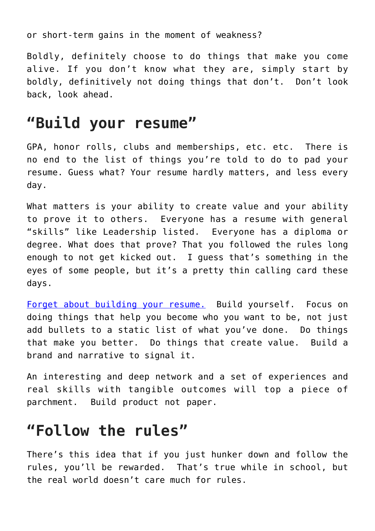or short-term gains in the moment of weakness?

Boldly, definitely choose to do things that make you come alive. If you don't know what they are, simply start by boldly, definitively not doing things that don't. Don't look back, look ahead.

## **"Build your resume"**

GPA, honor rolls, clubs and memberships, etc. etc. There is no end to the list of things you're told to do to pad your resume. Guess what? Your resume hardly matters, and less every day.

What matters is your ability to create value and your ability to prove it to others. Everyone has a resume with general "skills" like Leadership listed. Everyone has a diploma or degree. What does that prove? That you followed the rules long enough to not get kicked out. I guess that's something in the eyes of some people, but it's a pretty thin calling card these days.

[Forget about building your resume.](http://derekmagill.com/value-proposition/) Build yourself. Focus on doing things that help you become who you want to be, not just add bullets to a static list of what you've done. Do things that make you better. Do things that create value. Build a brand and narrative to signal it.

An interesting and deep network and a set of experiences and real skills with tangible outcomes will top a piece of parchment. Build product not paper.

## **"Follow the rules"**

There's this idea that if you just hunker down and follow the rules, you'll be rewarded. That's true while in school, but the real world doesn't care much for rules.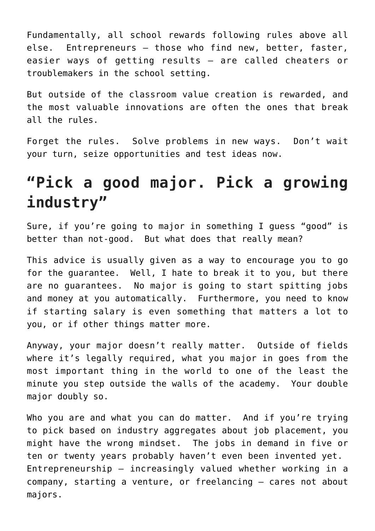Fundamentally, all school rewards following rules above all else. Entrepreneurs – those who find new, better, faster, easier ways of getting results – are called cheaters or troublemakers in the school setting.

But outside of the classroom value creation is rewarded, and the most valuable innovations are often the ones that break all the rules.

Forget the rules. Solve problems in new ways. Don't wait your turn, seize opportunities and test ideas now.

# **"Pick a good major. Pick a growing industry"**

Sure, if you're going to major in something I guess "good" is better than not-good. But what does that really mean?

This advice is usually given as a way to encourage you to go for the guarantee. Well, I hate to break it to you, but there are no guarantees. No major is going to start spitting jobs and money at you automatically. Furthermore, you need to know if starting salary is even something that matters a lot to you, or if other things matter more.

Anyway, your major doesn't really matter. Outside of fields where it's legally required, what you major in goes from the most important thing in the world to one of the least the minute you step outside the walls of the academy. Your double major doubly so.

Who you are and what you can do matter. And if you're trying to pick based on industry aggregates about job placement, you might have the wrong mindset. The jobs in demand in five or ten or twenty years probably haven't even been invented yet. Entrepreneurship – increasingly valued whether working in a company, starting a venture, or freelancing – cares not about majors.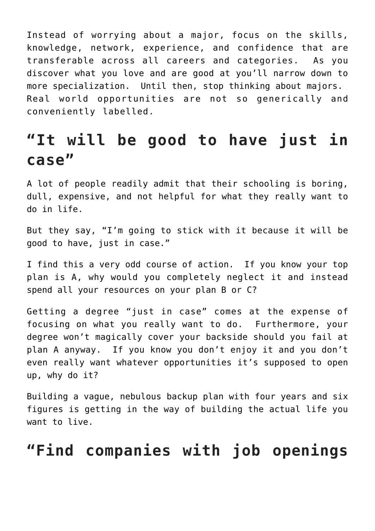Instead of worrying about a major, focus on the skills, knowledge, network, experience, and confidence that are transferable across all careers and categories. As you discover what you love and are good at you'll narrow down to more specialization. Until then, stop thinking about majors. Real world opportunities are not so generically and conveniently labelled.

## **"It will be good to have just in case"**

A lot of people readily admit that their schooling is boring, dull, expensive, and not helpful for what they really want to do in life.

But they say, "I'm going to stick with it because it will be good to have, just in case."

I find this a very odd course of action. If you know your top plan is A, why would you completely neglect it and instead spend all your resources on your plan B or C?

Getting a degree "just in case" comes at the expense of focusing on what you really want to do. Furthermore, your degree won't magically cover your backside should you fail at plan A anyway. If you know you don't enjoy it and you don't even really want whatever opportunities it's supposed to open up, why do it?

Building a vague, nebulous backup plan with four years and six figures is getting in the way of building the actual life you want to live.

### **"Find companies with job openings**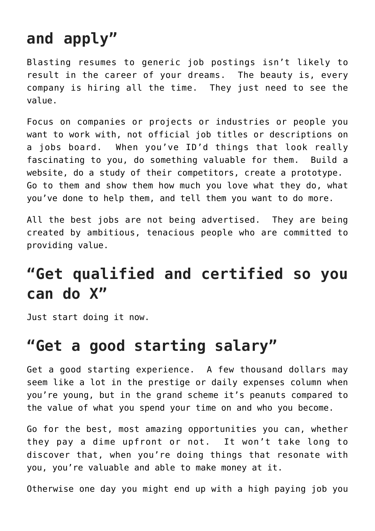# **and apply"**

Blasting resumes to generic job postings isn't likely to result in the career of your dreams. The beauty is, every company is hiring all the time. They just need to see the value.

Focus on companies or projects or industries or people you want to work with, not official job titles or descriptions on a jobs board. When you've ID'd things that look really fascinating to you, do something valuable for them. Build a website, do a study of their competitors, create a prototype. Go to them and show them how much you love what they do, what you've done to help them, and tell them you want to do more.

All the best jobs are not being advertised. They are being created by ambitious, tenacious people who are committed to providing value.

# **"Get qualified and certified so you can do X"**

Just start doing it now.

## **"Get a good starting salary"**

Get a good starting experience. A few thousand dollars may seem like a lot in the prestige or daily expenses column when you're young, but in the grand scheme it's peanuts compared to the value of what you spend your time on and who you become.

Go for the best, most amazing opportunities you can, whether they pay a dime upfront or not. It won't take long to discover that, when you're doing things that resonate with you, you're valuable and able to make money at it.

Otherwise one day you might end up with a high paying job you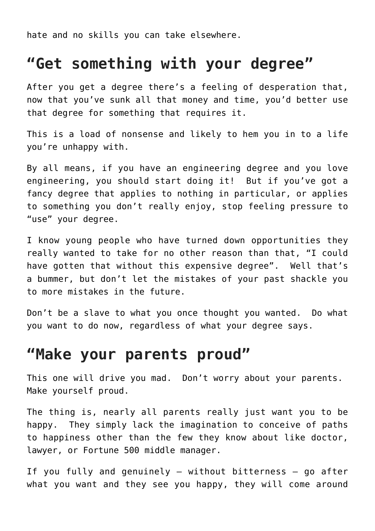hate and no skills you can take elsewhere.

### **"Get something with your degree"**

After you get a degree there's a feeling of desperation that, now that you've sunk all that money and time, you'd better use that degree for something that requires it.

This is a load of nonsense and likely to hem you in to a life you're unhappy with.

By all means, if you have an engineering degree and you love engineering, you should start doing it! But if you've got a fancy degree that applies to nothing in particular, or applies to something you don't really enjoy, stop feeling pressure to "use" your degree.

I know young people who have turned down opportunities they really wanted to take for no other reason than that, "I could have gotten that without this expensive degree". Well that's a bummer, but don't let the mistakes of your past shackle you to more mistakes in the future.

Don't be a slave to what you once thought you wanted. Do what you want to do now, regardless of what your degree says.

### **"Make your parents proud"**

This one will drive you mad. Don't worry about your parents. Make yourself proud.

The thing is, nearly all parents really just want you to be happy. They simply lack the imagination to conceive of paths to happiness other than the few they know about like doctor, lawyer, or Fortune 500 middle manager.

If you fully and genuinely – without bitterness – go after what you want and they see you happy, they will come around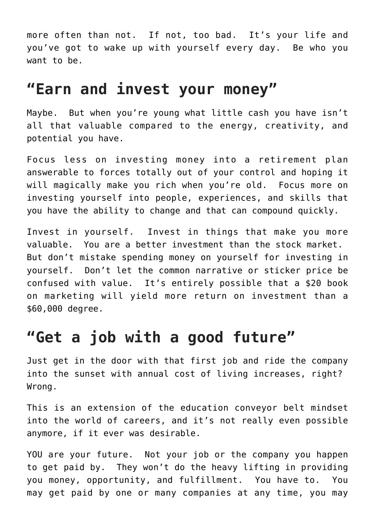more often than not. If not, too bad. It's your life and you've got to wake up with yourself every day. Be who you want to be.

### **"Earn and invest your money"**

Maybe. But when you're young what little cash you have isn't all that valuable compared to the energy, creativity, and potential you have.

Focus less on investing money into a retirement plan answerable to forces totally out of your control and hoping it will magically make you rich when you're old. Focus more on investing yourself into people, experiences, and skills that you have the ability to change and that can compound quickly.

Invest in yourself. Invest in things that make you more valuable. You are a better investment than the stock market. But don't mistake spending money on yourself for investing in yourself. Don't let the common narrative or sticker price be confused with value. It's entirely possible that a \$20 book on marketing will yield more return on investment than a \$60,000 degree.

## **"Get a job with a good future"**

Just get in the door with that first job and ride the company into the sunset with annual cost of living increases, right? Wrong.

This is an extension of the education conveyor belt mindset into the world of careers, and it's not really even possible anymore, if it ever was desirable.

YOU are your future. Not your job or the company you happen to get paid by. They won't do the heavy lifting in providing you money, opportunity, and fulfillment. You have to. You may get paid by one or many companies at any time, you may